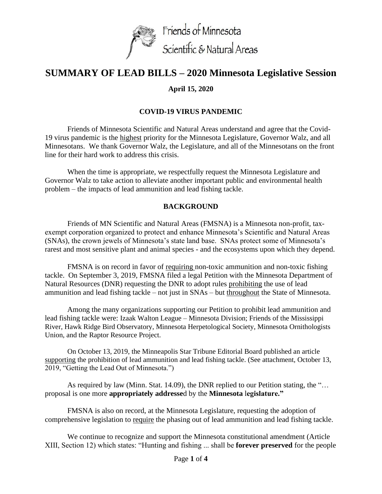

# **SUMMARY OF LEAD BILLS – 2020 Minnesota Legislative Session**

# **April 15, 2020**

# **COVID-19 VIRUS PANDEMIC**

Friends of Minnesota Scientific and Natural Areas understand and agree that the Covid-19 virus pandemic is the highest priority for the Minnesota Legislature, Governor Walz, and all Minnesotans. We thank Governor Walz, the Legislature, and all of the Minnesotans on the front line for their hard work to address this crisis.

When the time is appropriate, we respectfully request the Minnesota Legislature and Governor Walz to take action to alleviate another important public and environmental health problem – the impacts of lead ammunition and lead fishing tackle.

### **BACKGROUND**

Friends of MN Scientific and Natural Areas (FMSNA) is a Minnesota non-profit, taxexempt corporation organized to protect and enhance Minnesota's Scientific and Natural Areas (SNAs), the crown jewels of Minnesota's state land base. SNAs protect some of Minnesota's rarest and most sensitive plant and animal species - and the ecosystems upon which they depend.

FMSNA is on record in favor of requiring non-toxic ammunition and non-toxic fishing tackle. On September 3, 2019, FMSNA filed a legal Petition with the Minnesota Department of Natural Resources (DNR) requesting the DNR to adopt rules prohibiting the use of lead ammunition and lead fishing tackle – not just in SNAs – but throughout the State of Minnesota.

Among the many organizations supporting our Petition to prohibit lead ammunition and lead fishing tackle were: Izaak Walton League – Minnesota Division; Friends of the Mississippi River, Hawk Ridge Bird Observatory, Minnesota Herpetological Society, Minnesota Ornithologists Union, and the Raptor Resource Project.

On October 13, 2019, the Minneapolis Star Tribune Editorial Board published an article supporting the prohibition of lead ammunition and lead fishing tackle. (See attachment, October 13, 2019, "Getting the Lead Out of Minnesota.")

As required by law (Minn. Stat. 14.09), the DNR replied to our Petition stating, the "… proposal is one more **appropriately addresse**d by the **Minnesota** l**egislature."**

FMSNA is also on record, at the Minnesota Legislature, requesting the adoption of comprehensive legislation to require the phasing out of lead ammunition and lead fishing tackle.

We continue to recognize and support the Minnesota constitutional amendment (Article XIII, Section 12) which states: "Hunting and fishing ... shall be **forever preserved** for the people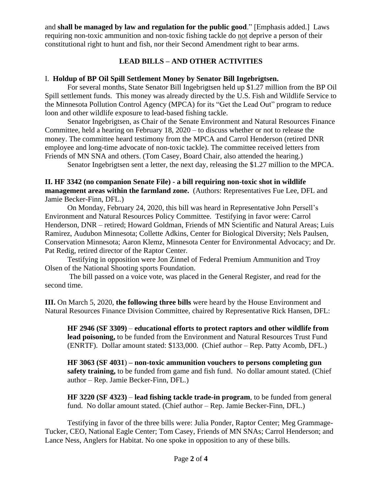and **shall be managed by law and regulation for the public good**." [Emphasis added.] Laws requiring non-toxic ammunition and non-toxic fishing tackle do not deprive a person of their constitutional right to hunt and fish, nor their Second Amendment right to bear arms.

# **LEAD BILLS – AND OTHER ACTIVITIES**

## I. **Holdup of BP Oil Spill Settlement Money by Senator Bill Ingebrigtsen.**

For several months, State Senator Bill Ingebrigtsen held up \$1.27 million from the BP Oil Spill settlement funds. This money was already directed by the U.S. Fish and Wildlife Service to the Minnesota Pollution Control Agency (MPCA) for its "Get the Lead Out" program to reduce loon and other wildlife exposure to lead-based fishing tackle.

Senator Ingebrigtsen, as Chair of the Senate Environment and Natural Resources Finance Committee, held a hearing on February 18, 2020 – to discuss whether or not to release the money. The committee heard testimony from the MPCA and Carrol Henderson (retired DNR employee and long-time advocate of non-toxic tackle). The committee received letters from Friends of MN SNA and others. (Tom Casey, Board Chair, also attended the hearing.)

Senator Ingebrigtsen sent a letter, the next day, releasing the \$1.27 million to the MPCA.

## **II. HF 3342 (no companion Senate File) - a bill requiring non-toxic shot in wildlife management areas within the farmland zone.** (Authors: Representatives Fue Lee, DFL and Jamie Becker-Finn, DFL.)

On Monday, February 24, 2020, this bill was heard in Representative John Persell's Environment and Natural Resources Policy Committee. Testifying in favor were: Carrol Henderson, DNR – retired; Howard Goldman, Friends of MN Scientific and Natural Areas; Luis Ramirez, Audubon Minnesota; Collette Adkins, Center for Biological Diversity; Nels Paulsen, Conservation Minnesota; Aaron Klemz, Minnesota Center for Environmental Advocacy; and Dr. Pat Redig, retired director of the Raptor Center.

Testifying in opposition were Jon Zinnel of Federal Premium Ammunition and Troy Olsen of the National Shooting sports Foundation.

 The bill passed on a voice vote, was placed in the General Register, and read for the second time.

**III.** On March 5, 2020, **the following three bills** were heard by the House Environment and Natural Resources Finance Division Committee, chaired by Representative Rick Hansen, DFL:

**HF 2946 (SF 3309)** – **educational efforts to protect raptors and other wildlife from lead poisoning,** to be funded from the Environment and Natural Resources Trust Fund (ENRTF). Dollar amount stated: \$133,000. (Chief author – Rep. Patty Acomb, DFL.)

**HF 3063 (SF 4031**) **– non-toxic ammunition vouchers to persons completing gun safety training,** to be funded from game and fish fund. No dollar amount stated. (Chief author – Rep. Jamie Becker-Finn, DFL.)

**HF 3220 (SF 4323)** – **lead fishing tackle trade-in program**, to be funded from general fund. No dollar amount stated. (Chief author – Rep. Jamie Becker-Finn, DFL.)

Testifying in favor of the three bills were: Julia Ponder, Raptor Center; Meg Grammage-Tucker, CEO, National Eagle Center; Tom Casey, Friends of MN SNAs; Carrol Henderson; and Lance Ness, Anglers for Habitat. No one spoke in opposition to any of these bills.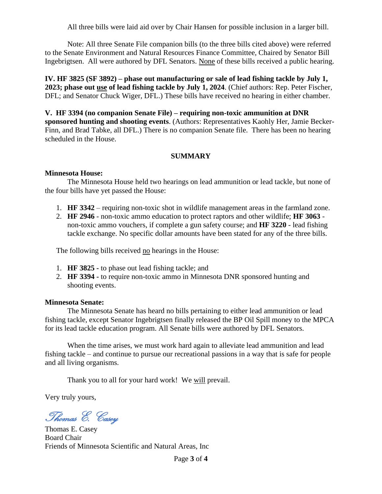All three bills were laid aid over by Chair Hansen for possible inclusion in a larger bill.

Note: All three Senate File companion bills (to the three bills cited above) were referred to the Senate Environment and Natural Resources Finance Committee, Chaired by Senator Bill Ingebrigtsen. All were authored by DFL Senators. None of these bills received a public hearing.

**IV. HF 3825 (SF 3892) – phase out manufacturing or sale of lead fishing tackle by July 1, 2023; phase out use of lead fishing tackle by July 1, 2024**. (Chief authors: Rep. Peter Fischer, DFL; and Senator Chuck Wiger, DFL.) These bills have received no hearing in either chamber.

**V. HF 3394 (no companion Senate File) – requiring non-toxic ammunition at DNR sponsored hunting and shooting events**. (Authors: Representatives Kaohly Her, Jamie Becker-Finn, and Brad Tabke, all DFL.) There is no companion Senate file. There has been no hearing scheduled in the House.

### **SUMMARY**

#### **Minnesota House:**

The Minnesota House held two hearings on lead ammunition or lead tackle, but none of the four bills have yet passed the House:

- 1. **HF 3342** requiring non-toxic shot in wildlife management areas in the farmland zone.
- 2. **HF 2946** non-toxic ammo education to protect raptors and other wildlife; **HF 3063** non-toxic ammo vouchers, if complete a gun safety course; and **HF 3220** - lead fishing tackle exchange. No specific dollar amounts have been stated for any of the three bills.

The following bills received no hearings in the House:

- 1. **HF 3825 -** to phase out lead fishing tackle; and
- 2. **HF 3394 -** to require non-toxic ammo in Minnesota DNR sponsored hunting and shooting events.

#### **Minnesota Senate:**

The Minnesota Senate has heard no bills pertaining to either lead ammunition or lead fishing tackle, except Senator Ingebrigtsen finally released the BP Oil Spill money to the MPCA for its lead tackle education program. All Senate bills were authored by DFL Senators.

When the time arises, we must work hard again to alleviate lead ammunition and lead fishing tackle – and continue to pursue our recreational passions in a way that is safe for people and all living organisms.

Thank you to all for your hard work! We will prevail.

Very truly yours,

Thomas E. Casey

Thomas E. Casey Board Chair Friends of Minnesota Scientific and Natural Areas, Inc